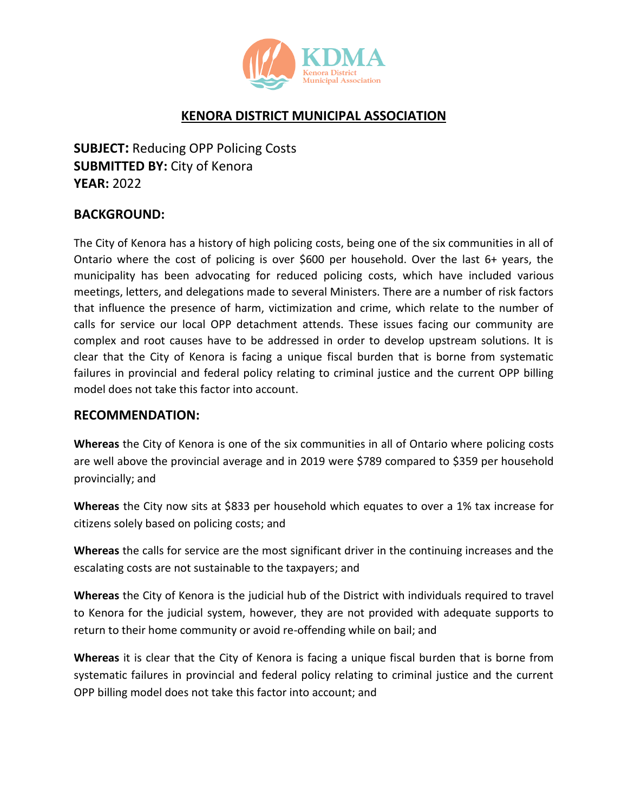

## **KENORA DISTRICT MUNICIPAL ASSOCIATION**

**SUBJECT:** Reducing OPP Policing Costs **SUBMITTED BY:** City of Kenora **YEAR:** 2022

## **BACKGROUND:**

The City of Kenora has a history of high policing costs, being one of the six communities in all of Ontario where the cost of policing is over \$600 per household. Over the last 6+ years, the municipality has been advocating for reduced policing costs, which have included various meetings, letters, and delegations made to several Ministers. There are a number of risk factors that influence the presence of harm, victimization and crime, which relate to the number of calls for service our local OPP detachment attends. These issues facing our community are complex and root causes have to be addressed in order to develop upstream solutions. It is clear that the City of Kenora is facing a unique fiscal burden that is borne from systematic failures in provincial and federal policy relating to criminal justice and the current OPP billing model does not take this factor into account.

## **RECOMMENDATION:**

**Whereas** the City of Kenora is one of the six communities in all of Ontario where policing costs are well above the provincial average and in 2019 were \$789 compared to \$359 per household provincially; and

**Whereas** the City now sits at \$833 per household which equates to over a 1% tax increase for citizens solely based on policing costs; and

**Whereas** the calls for service are the most significant driver in the continuing increases and the escalating costs are not sustainable to the taxpayers; and

**Whereas** the City of Kenora is the judicial hub of the District with individuals required to travel to Kenora for the judicial system, however, they are not provided with adequate supports to return to their home community or avoid re-offending while on bail; and

**Whereas** it is clear that the City of Kenora is facing a unique fiscal burden that is borne from systematic failures in provincial and federal policy relating to criminal justice and the current OPP billing model does not take this factor into account; and